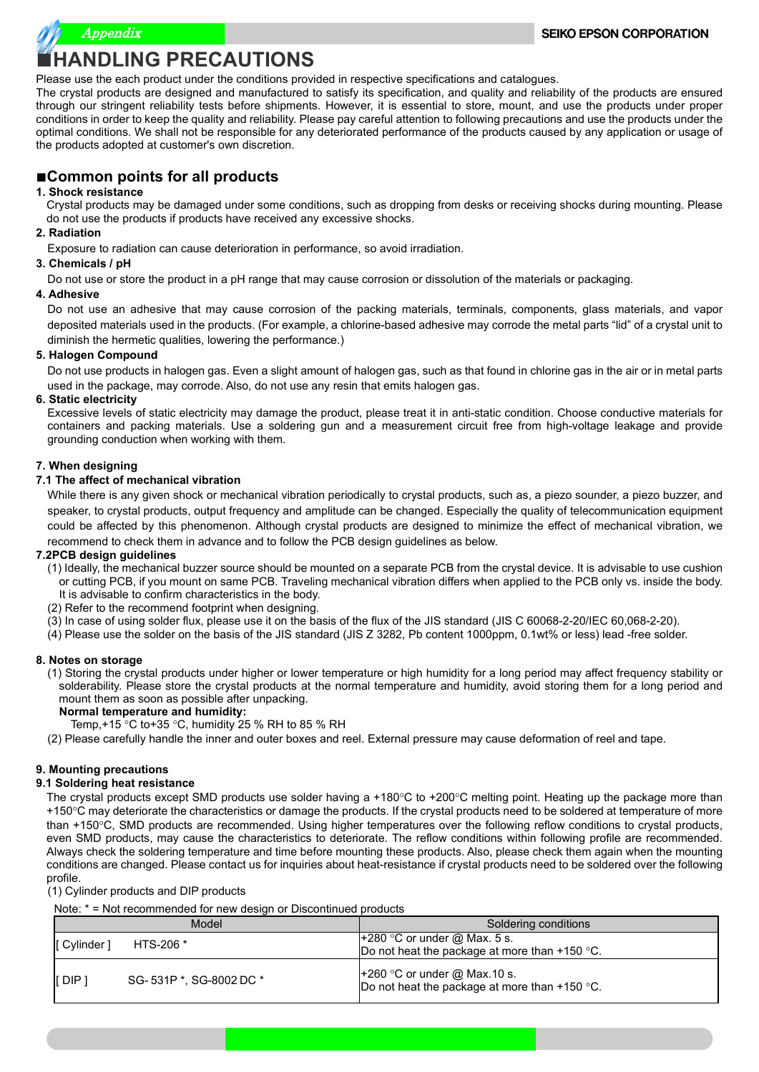

#### Please use the each product under the conditions provided in respective specifications and catalogues.

The crystal products are designed and manufactured to satisfy its specification, and quality and reliability of the products are ensured through our stringent reliability tests before shipments. However, it is essential to store, mount, and use the products under proper conditions in order to keep the quality and reliability. Please pay careful attention to following precautions and use the products under the optimal conditions. We shall not be responsible for any deteriorated performance of the products caused by any application or usage of the products adopted at customer's own discretion.

### ■**Common points for all products**

#### **1. Shock resistance**

Crystal products may be damaged under some conditions, such as dropping from desks or receiving shocks during mounting. Please do not use the products if products have received any excessive shocks.

#### **2. Radiation**

Exposure to radiation can cause deterioration in performance, so avoid irradiation.

#### **3. Chemicals / pH**

Do not use or store the product in a pH range that may cause corrosion or dissolution of the materials or packaging.

#### **4. Adhesive**

Do not use an adhesive that may cause corrosion of the packing materials, terminals, components, glass materials, and vapor deposited materials used in the products. (For example, a chlorine-based adhesive may corrode the metal parts "lid" of a crystal unit to diminish the hermetic qualities, lowering the performance.)

#### **5. Halogen Compound**

Do not use products in halogen gas. Even a slight amount of halogen gas, such as that found in chlorine gas in the air or in metal parts used in the package, may corrode. Also, do not use any resin that emits halogen gas.

#### **6. Static electricity**

Excessive levels of static electricity may damage the product, please treat it in anti-static condition. Choose conductive materials for containers and packing materials. Use a soldering gun and a measurement circuit free from high-voltage leakage and provide grounding conduction when working with them.

#### **7. When designing**

#### **7.1 The affect of mechanical vibration**

While there is any given shock or mechanical vibration periodically to crystal products, such as, a piezo sounder, a piezo buzzer, and speaker, to crystal products, output frequency and amplitude can be changed. Especially the quality of telecommunication equipment could be affected by this phenomenon. Although crystal products are designed to minimize the effect of mechanical vibration, we recommend to check them in advance and to follow the PCB design guidelines as below.

#### **7.2PCB design guidelines**

- (1) Ideally, the mechanical buzzer source should be mounted on a separate PCB from the crystal device. It is advisable to use cushion or cutting PCB, if you mount on same PCB. Traveling mechanical vibration differs when applied to the PCB only vs. inside the body. It is advisable to confirm characteristics in the body.
- (2) Refer to the recommend footprint when designing.
- (3) In case of using solder flux, please use it on the basis of the flux of the JIS standard (JIS C 60068-2-20/IEC 60,068-2-20).
- (4) Please use the solder on the basis of the JIS standard (JIS Z 3282, Pb content 1000ppm, 0.1wt% or less) lead -free solder.

#### **8. Notes on storage**

(1) Storing the crystal products under higher or lower temperature or high humidity for a long period may affect frequency stability or solderability. Please store the crystal products at the normal temperature and humidity, avoid storing them for a long period and mount them as soon as possible after unpacking.

 **Normal temperature and humidity:**

- Temp,+15 °C to+35 °C, humidity 25 % RH to 85 % RH
- (2) Please carefully handle the inner and outer boxes and reel. External pressure may cause deformation of reel and tape.

#### **9. Mounting precautions**

#### **9.1 Soldering heat resistance**

The crystal products except SMD products use solder having a +180°C to +200°C melting point. Heating up the package more than +150°C may deteriorate the characteristics or damage the products. If the crystal products need to be soldered at temperature of more than +150°C, SMD products are recommended. Using higher temperatures over the following reflow conditions to crystal products, even SMD products, may cause the characteristics to deteriorate. The reflow conditions within following profile are recommended. Always check the soldering temperature and time before mounting these products. Also, please check them again when the mounting conditions are changed. Please contact us for inquiries about heat-resistance if crystal products need to be soldered over the following profile.

(1) Cylinder products and DIP products

Note: \* = Not recommended for new design or Discontinued products

| Model                       |                         | Soldering conditions                                                            |  |
|-----------------------------|-------------------------|---------------------------------------------------------------------------------|--|
| [ Cylinder ]                | HTS-206 *               | $+280$ °C or under @ Max. 5 s.<br>Do not heat the package at more than +150 °C. |  |
| $\mathsf I$ DIP $\mathsf I$ | SG-531P *, SG-8002 DC * | $+260$ °C or under @ Max.10 s.<br>Do not heat the package at more than +150 °C. |  |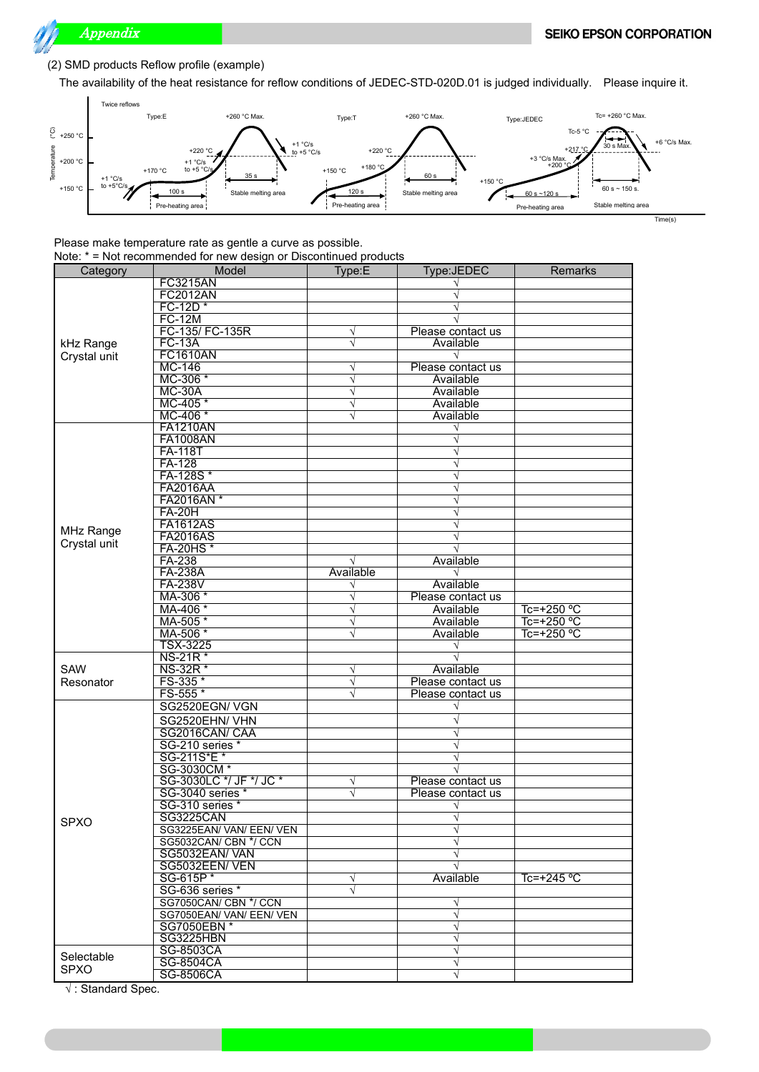

#### (2) SMD products Reflow profile (example)

The availability of the heat resistance for reflow conditions of JEDEC-STD-020D.01 is judged individually. Please inquire it.



Time(s)

#### Please make temperature rate as gentle a curve as possible. Note: \* = Not recommended for new design or Discontinued products

| Category         | Model                           | Type:E    | Type:JEDEC        | Remarks      |
|------------------|---------------------------------|-----------|-------------------|--------------|
|                  | <b>FC3215AN</b>                 |           |                   |              |
|                  | <b>FC2012AN</b>                 |           |                   |              |
|                  | FC-12D*                         |           |                   |              |
|                  | <b>FC-12M</b>                   |           |                   |              |
|                  | FC-135/ FC-135R                 | $\sqrt{}$ | Please contact us |              |
| kHz Range        | <b>FC-13A</b>                   | V         | Available         |              |
|                  | <b>FC1610AN</b>                 |           |                   |              |
| Crystal unit     |                                 | $\sqrt{}$ | Please contact us |              |
|                  | MC-146<br>MC-306 *              |           |                   |              |
|                  |                                 | $\sqrt{}$ | Available         |              |
|                  | $MC-30A$                        | $\sqrt{}$ | Available         |              |
|                  | MC-405 *                        | $\sqrt{}$ | Available         |              |
|                  | MC-406 *                        | $\sqrt{}$ | Available         |              |
|                  | <b>FA1210AN</b>                 |           |                   |              |
|                  | <b>FA1008AN</b>                 |           |                   |              |
|                  | <b>FA-118T</b>                  |           |                   |              |
|                  | FA-128                          |           |                   |              |
|                  | FA-128S*                        |           |                   |              |
|                  | <b>FA2016AA</b>                 |           |                   |              |
|                  | FA2016AN*                       |           |                   |              |
|                  | <b>FA-20H</b>                   |           |                   |              |
|                  | <b>FA1612AS</b>                 |           |                   |              |
| <b>MHz Range</b> | <b>FA2016AS</b>                 |           |                   |              |
| Crystal unit     | <b>FA-20HS*</b>                 |           |                   |              |
|                  | FA-238                          |           | Available         |              |
|                  | <b>FA-238A</b>                  | Available | V                 |              |
|                  | <b>FA-238V</b>                  | V         | Available         |              |
|                  | MA-306 *                        | $\sqrt{}$ | Please contact us |              |
|                  | MA-406 *                        | $\sqrt{}$ | Available         | $Tc=+250$ °C |
|                  | MA-505*                         | V         | Available         | Tc=+250 °C   |
|                  | MA-506 *                        |           | Available         | Tc=+250 °C   |
|                  | <b>TSX-3225</b>                 |           |                   |              |
|                  |                                 |           |                   |              |
|                  | NS-21R <sup>*</sup><br>NS-32R * |           |                   |              |
| SAW              |                                 | V         | Available         |              |
| Resonator        | FS-335 *                        | $\sqrt{}$ | Please contact us |              |
|                  | FS-555*                         | V         | Please contact us |              |
|                  | SG2520EGN/VGN                   |           |                   |              |
|                  | SG2520EHN/VHN                   |           |                   |              |
|                  | SG2016CAN/CAA                   |           |                   |              |
|                  | SG-210 series *                 |           |                   |              |
|                  | SG-211S*E *                     |           | V                 |              |
|                  | SG-3030CM *                     |           |                   |              |
|                  | SG-3030LC */ JF */ JC *         | V         | Please contact us |              |
|                  | SG-3040 series *                | $\sqrt{}$ | Please contact us |              |
|                  | SG-310 series *                 |           |                   |              |
|                  | <b>SG3225CAN</b>                |           |                   |              |
| <b>SPXO</b>      | SG3225EAN/VAN/EEN/VEN           |           | $\sqrt{}$         |              |
|                  | SG5032CAN/ CBN */ CCN           |           | $\sqrt{}$         |              |
|                  | SG5032EAN/VAN                   |           | $\sqrt{}$         |              |
|                  | SG5032EEN/VEN                   |           |                   |              |
|                  | SG-615P*                        | $\sqrt{}$ | Available         | Tc=+245 $°C$ |
|                  |                                 | $\sqrt{}$ |                   |              |
|                  | SG-636 series *                 |           |                   |              |
|                  | SG7050CAN/ CBN */ CCN           |           | $\sqrt{}$         |              |
|                  | SG7050EAN/VAN/EEN/VEN           |           | $\sqrt{}$         |              |
|                  | SG7050EBN *                     |           | $\sqrt{}$         |              |
|                  | SG3225HBN                       |           | $\sqrt{}$         |              |
| Selectable       | SG-8503CA                       |           | V                 |              |
| <b>SPXO</b>      | SG-8504CA                       |           | $\sqrt{}$         |              |
|                  | SG-8506CA                       |           | $\sqrt{}$         |              |

√ : Standard Spec.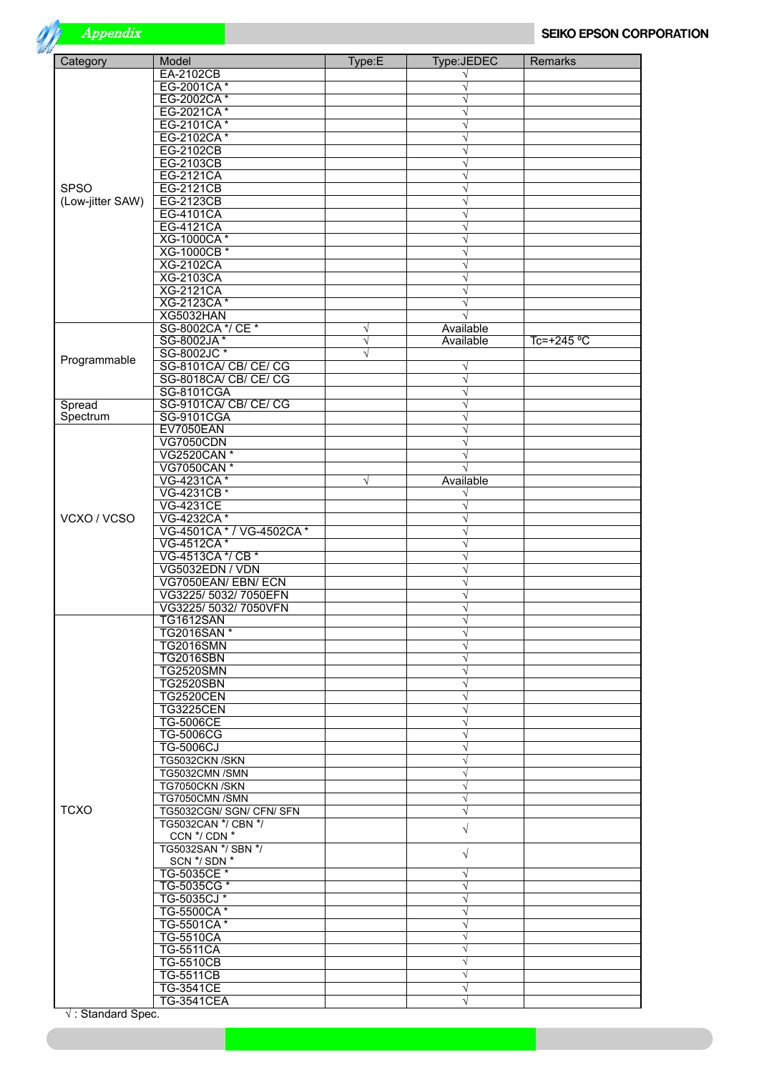

| Category           | Model                                      | Type:E     | Type:JEDEC             | Remarks      |
|--------------------|--------------------------------------------|------------|------------------------|--------------|
|                    | <b>EA-2102CB</b>                           |            |                        |              |
|                    | EG-2001CA*                                 |            |                        |              |
|                    | EG-2002CA*<br>EG-2021CA*                   |            | V<br>$\sqrt{}$         |              |
|                    | EG-2101CA*                                 |            | $\sqrt{}$              |              |
|                    | EG-2102CA*                                 |            | $\sqrt{}$              |              |
|                    | <b>EG-2102CB</b>                           |            | $\sqrt{}$              |              |
|                    | <b>EG-2103CB</b>                           |            | V                      |              |
|                    | <b>EG-2121CA</b>                           |            | $\sqrt{}$              |              |
| <b>SPSO</b>        | EG-2121CB                                  |            | V                      |              |
| (Low-jitter SAW)   | EG-2123CB<br>EG-4101CA                     |            | $\sqrt{}$<br>$\sqrt{}$ |              |
|                    | <b>EG-4121CA</b>                           |            | $\sqrt{}$              |              |
|                    | <b>XG-1000CA*</b>                          |            | $\sqrt{}$              |              |
|                    | XG-1000CB *                                |            | $\sqrt{}$              |              |
|                    | <b>XG-2102CA</b>                           |            |                        |              |
|                    | <b>XG-2103CA</b>                           |            | V                      |              |
|                    | <b>XG-2121CA</b><br>XG-2123CA*             |            | $\sqrt{}$<br>V         |              |
|                    | XG5032HAN                                  |            |                        |              |
|                    | SG-8002CA */ CE *                          | $\sqrt{ }$ | Available              |              |
|                    | SG-8002JA*                                 | $\sqrt{}$  | Available              | $Tc=+245$ °C |
| Programmable       | SG-8002JC*                                 |            |                        |              |
|                    | SG-8101CA/CB/CE/CG                         |            | V                      |              |
|                    | SG-8018CA/CB/CE/CG                         |            | $\sqrt{}$              |              |
|                    | SG-8101CGA                                 |            | $\sqrt{}$<br>$\sqrt{}$ |              |
| Spread<br>Spectrum | SG-9101CA/CB/CE/CG<br>SG-9101CGA           |            | $\sqrt{}$              |              |
|                    | EV7050EAN                                  |            | V                      |              |
|                    | <b>VG7050CDN</b>                           |            | $\sqrt{}$              |              |
|                    | VG2520CAN *                                |            | $\sqrt{}$              |              |
|                    | VG7050CAN *                                |            |                        |              |
|                    | VG-4231CA*                                 | $\sqrt{}$  | Available              |              |
|                    | VG-4231CB *                                |            | $\sqrt{}$              |              |
| VCXO / VCSO        | <b>VG-4231CE</b><br>VG-4232CA*             |            | V<br>$\sqrt{}$         |              |
|                    | VG-4501CA * / VG-4502CA *                  |            | $\sqrt{}$              |              |
|                    | VG-4512CA*                                 |            | V                      |              |
|                    | VG-4513CA */ CB *                          |            | $\sqrt{}$              |              |
|                    | VG5032EDN / VDN                            |            | $\sqrt{}$              |              |
|                    | VG7050EAN/EBN/ECN                          |            | $\sqrt{}$              |              |
|                    | VG3225/5032/7050EFN<br>VG3225/5032/7050VFN |            | $\sqrt{}$<br>$\sqrt{}$ |              |
|                    | <b>TG1612SAN</b>                           |            | $\sqrt{}$              |              |
|                    | TG2016SAN <sup>*</sup>                     |            | V                      |              |
|                    | <b>TG2016SMN</b>                           |            | $\sqrt{}$              |              |
|                    | <b>TG2016SBN</b>                           |            | $\sqrt{}$              |              |
|                    | <b>TG2520SMN</b>                           |            | $\sqrt{}$              |              |
|                    | <b>TG2520SBN</b>                           |            | $\sqrt{}$              |              |
|                    | <b>TG2520CEN</b><br><b>TG3225CEN</b>       |            | $\sqrt{}$<br>$\sqrt{}$ |              |
|                    | <b>TG-5006CE</b>                           |            | $\sqrt{}$              |              |
|                    | <b>TG-5006CG</b>                           |            | $\sqrt{}$              |              |
|                    | <b>TG-5006CJ</b>                           |            | $\sqrt{}$              |              |
|                    | TG5032CKN /SKN                             |            | $\sqrt{}$              |              |
|                    | TG5032CMN /SMN                             |            | $\sqrt{}$              |              |
|                    | TG7050CKN /SKN                             |            | $\sqrt{}$<br>$\sqrt{}$ |              |
| <b>TCXO</b>        | TG7050CMN /SMN<br>TG5032CGN/ SGN/ CFN/ SFN |            | $\sqrt{}$              |              |
|                    | TG5032CAN */ CBN */                        |            |                        |              |
|                    | CCN */ CDN *                               |            | $\sqrt{}$              |              |
|                    | TG5032SAN */ SBN */                        |            | $\sqrt{}$              |              |
|                    | SCN */ SDN *                               |            |                        |              |
|                    | TG-5035CE *<br>TG-5035CG*                  |            | $\sqrt{}$<br>$\sqrt{}$ |              |
|                    | TG-5035CJ *                                |            | $\sqrt{}$              |              |
|                    | TG-5500CA*                                 |            | $\sqrt{}$              |              |
|                    | TG-5501CA*                                 |            | $\sqrt{}$              |              |
|                    | <b>TG-5510CA</b>                           |            | $\sqrt{}$              |              |
|                    | <b>TG-5511CA</b>                           |            | $\sqrt{}$              |              |
|                    | <b>TG-5510CB</b>                           |            | $\sqrt{}$              |              |
|                    | <b>TG-5511CB</b><br><b>TG-3541CE</b>       |            | $\sqrt{}$              |              |
|                    | <b>TG-3541CEA</b>                          |            | $\sqrt{}$<br>$\sqrt{}$ |              |
|                    |                                            |            |                        |              |

√ : Standard Spec.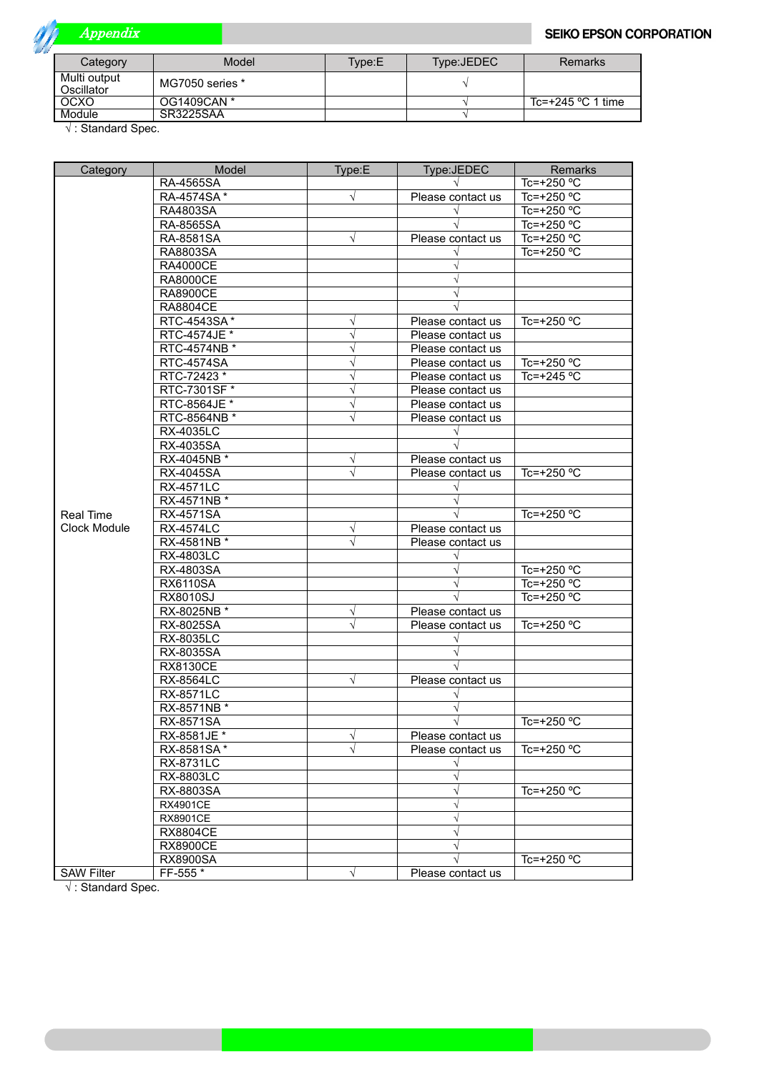

## Appendix

| Category                   | Model           | Tvpe:E | Type:JEDEC | Remarks             |
|----------------------------|-----------------|--------|------------|---------------------|
| Multi output<br>Oscillator | MG7050 series * |        |            |                     |
| OCXO                       | OG1409CAN *     |        |            | Tc=+245 $°C$ 1 time |
| Module                     | SR3225SAA       |        |            |                     |

√ : Standard Spec.

| Category          | Model                           | Type:E         | Type:JEDEC        | Remarks             |
|-------------------|---------------------------------|----------------|-------------------|---------------------|
|                   | RA-4565SA                       |                |                   | Tc=+250 °C          |
|                   | RA-4574SA*                      | $\sqrt{}$      | Please contact us | Tc=+250 °C          |
|                   | RA4803SA                        |                |                   | Tc=+250 °C          |
|                   | RA-8565SA                       |                |                   | Tc=+250 °C          |
|                   | RA-8581SA                       | V              | Please contact us | Tc=+250 °C          |
|                   | RA8803SA                        |                |                   | Tc=+250 °C          |
|                   | <b>RA4000CE</b>                 |                |                   |                     |
|                   | <b>RA8000CE</b>                 |                |                   |                     |
|                   | <b>RA8900CE</b>                 |                |                   |                     |
|                   | <b>RA8804CE</b>                 |                |                   |                     |
|                   | RTC-4543SA*                     | √              | Please contact us | Tc=+250 $°C$        |
|                   | RTC-4574JE *                    | $\sqrt{}$      | Please contact us |                     |
|                   | RTC-4574NB *                    | $\sqrt{}$      | Please contact us |                     |
|                   | <b>RTC-4574SA</b>               | $\sqrt{}$      | Please contact us | Tc=+250 $\degree$ C |
|                   | RTC-72423 *                     | V              | Please contact us | Tc=+245 $°C$        |
|                   | RTC-7301SF *                    | $\sqrt{}$      | Please contact us |                     |
|                   | RTC-8564JE *                    | $\sqrt{}$      | Please contact us |                     |
|                   | RTC-8564NB *                    | V              | Please contact us |                     |
|                   | <b>RX-4035LC</b>                |                | $\sqrt{}$         |                     |
|                   | RX-4035SA                       |                |                   |                     |
|                   | RX-4045NB *                     | √              | Please contact us |                     |
|                   | <b>RX-4045SA</b>                | $\sqrt{}$      | Please contact us | Tc=+250 $°C$        |
|                   |                                 |                |                   |                     |
|                   | <b>RX-4571LC</b><br>RX-4571NB * |                |                   |                     |
|                   | <b>RX-4571SA</b>                |                |                   |                     |
| <b>Real Time</b>  |                                 |                |                   | Tc=+250 $°C$        |
| Clock Module      | <b>RX-4574LC</b>                | V<br>$\sqrt{}$ | Please contact us |                     |
|                   | RX-4581NB *                     |                | Please contact us |                     |
|                   | <b>RX-4803LC</b>                |                |                   |                     |
|                   | RX-4803SA                       |                |                   | Tc=+250 °C          |
|                   | <b>RX6110SA</b>                 |                | $\sqrt{}$         | Tc=+250 $\degree$ C |
|                   | <b>RX8010SJ</b>                 |                |                   | Tc=+250 °C          |
|                   | RX-8025NB *                     | √<br>$\sqrt{}$ | Please contact us |                     |
|                   | RX-8025SA                       |                | Please contact us | Tc=+250 °C          |
|                   | <b>RX-8035LC</b>                |                |                   |                     |
|                   | RX-8035SA                       |                |                   |                     |
|                   | <b>RX8130CE</b>                 |                |                   |                     |
|                   | <b>RX-8564LC</b>                | $\sqrt{}$      | Please contact us |                     |
|                   | <b>RX-8571LC</b>                |                | $\sqrt{}$         |                     |
|                   | RX-8571NB *                     |                |                   |                     |
|                   | <b>RX-8571SA</b>                |                | $\sqrt{}$         | Tc=+250 $°C$        |
|                   | RX-8581JE *                     | ν              | Please contact us |                     |
|                   | RX-8581SA*                      | $\sqrt{}$      | Please contact us | Tc=+250 $°C$        |
|                   | RX-8731LC                       |                | $\sqrt{}$         |                     |
|                   | RX-8803LC                       |                | V                 |                     |
|                   | RX-8803SA                       |                | $\sqrt{}$         | Tc=+250 °C          |
|                   | <b>RX4901CE</b>                 |                | $\sqrt{}$         |                     |
|                   | <b>RX8901CE</b>                 |                |                   |                     |
|                   | <b>RX8804CE</b>                 |                | V                 |                     |
|                   | <b>RX8900CE</b>                 |                |                   |                     |
|                   | <b>RX8900SA</b>                 |                |                   | Tc=+250 °C          |
| <b>SAW Filter</b> | FF-555 *                        | $\sqrt{}$      | Please contact us |                     |

√ : Standard Spec.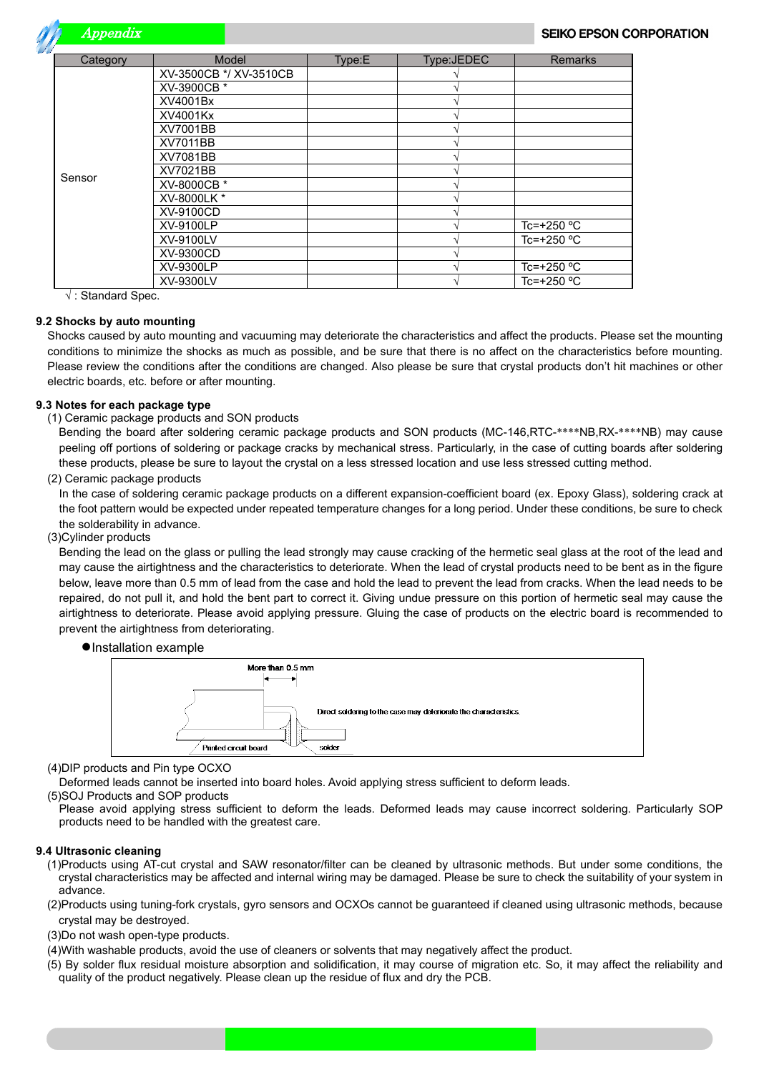Appendix

| Category | Model                  | Type:E | Type:JEDEC | <b>Remarks</b>      |
|----------|------------------------|--------|------------|---------------------|
|          | XV-3500CB */ XV-3510CB |        |            |                     |
|          | XV-3900CB *            |        |            |                     |
|          | XV4001Bx               |        |            |                     |
|          | XV4001Kx               |        |            |                     |
|          | XV7001BB               |        |            |                     |
|          | XV7011BB               |        |            |                     |
|          | XV7081BB               |        |            |                     |
|          | XV7021BB               |        |            |                     |
| Sensor   | XV-8000CB *            |        |            |                     |
|          | XV-8000LK *            |        |            |                     |
|          | XV-9100CD              |        |            |                     |
|          | XV-9100LP              |        |            | Tc=+250 $°C$        |
|          | XV-9100LV              |        |            | Tc=+250 °C          |
|          | XV-9300CD              |        |            |                     |
|          | XV-9300LP              |        |            | Tc=+250 $\degree$ C |
|          | XV-9300LV              |        |            | Tc=+250 °C          |

√ : Standard Spec.

#### **9.2 Shocks by auto mounting**

Shocks caused by auto mounting and vacuuming may deteriorate the characteristics and affect the products. Please set the mounting conditions to minimize the shocks as much as possible, and be sure that there is no affect on the characteristics before mounting. Please review the conditions after the conditions are changed. Also please be sure that crystal products don't hit machines or other electric boards, etc. before or after mounting.

#### **9.3 Notes for each package type**

(1) Ceramic package products and SON products

Bending the board after soldering ceramic package products and SON products (MC-146,RTC-\*\*\*\*NB,RX-\*\*\*\*NB) may cause peeling off portions of soldering or package cracks by mechanical stress. Particularly, in the case of cutting boards after soldering these products, please be sure to layout the crystal on a less stressed location and use less stressed cutting method.

(2) Ceramic package products

In the case of soldering ceramic package products on a different expansion-coefficient board (ex. Epoxy Glass), soldering crack at the foot pattern would be expected under repeated temperature changes for a long period. Under these conditions, be sure to check the solderability in advance.

(3)Cylinder products

Bending the lead on the glass or pulling the lead strongly may cause cracking of the hermetic seal glass at the root of the lead and may cause the airtightness and the characteristics to deteriorate. When the lead of crystal products need to be bent as in the figure below, leave more than 0.5 mm of lead from the case and hold the lead to prevent the lead from cracks. When the lead needs to be repaired, do not pull it, and hold the bent part to correct it. Giving undue pressure on this portion of hermetic seal may cause the airtightness to deteriorate. Please avoid applying pressure. Gluing the case of products on the electric board is recommended to prevent the airtightness from deteriorating.

 **●**Installation example



(4)DIP products and Pin type OCXO

Deformed leads cannot be inserted into board holes. Avoid applying stress sufficient to deform leads.

(5)SOJ Products and SOP products

Please avoid applying stress sufficient to deform the leads. Deformed leads may cause incorrect soldering. Particularly SOP products need to be handled with the greatest care.

#### **9.4 Ultrasonic cleaning**

- (1)Products using AT-cut crystal and SAW resonator/filter can be cleaned by ultrasonic methods. But under some conditions, the crystal characteristics may be affected and internal wiring may be damaged. Please be sure to check the suitability of your system in advance.
- (2)Products using tuning-fork crystals, gyro sensors and OCXOs cannot be guaranteed if cleaned using ultrasonic methods, because crystal may be destroyed.
- (3)Do not wash open-type products.
- (4)With washable products, avoid the use of cleaners or solvents that may negatively affect the product.
- (5) By solder flux residual moisture absorption and solidification, it may course of migration etc. So, it may affect the reliability and quality of the product negatively. Please clean up the residue of flux and dry the PCB.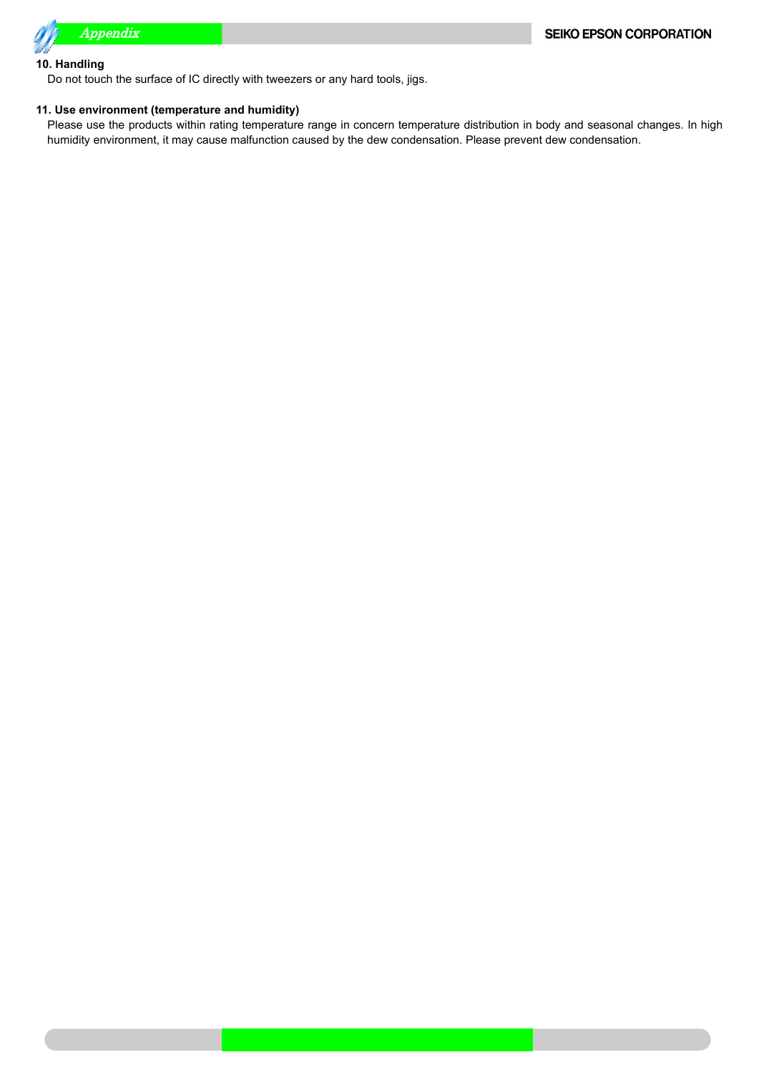

#### **10. Handling**

Do not touch the surface of IC directly with tweezers or any hard tools, jigs.

#### **11. Use environment (temperature and humidity)**

Please use the products within rating temperature range in concern temperature distribution in body and seasonal changes. In high humidity environment, it may cause malfunction caused by the dew condensation. Please prevent dew condensation.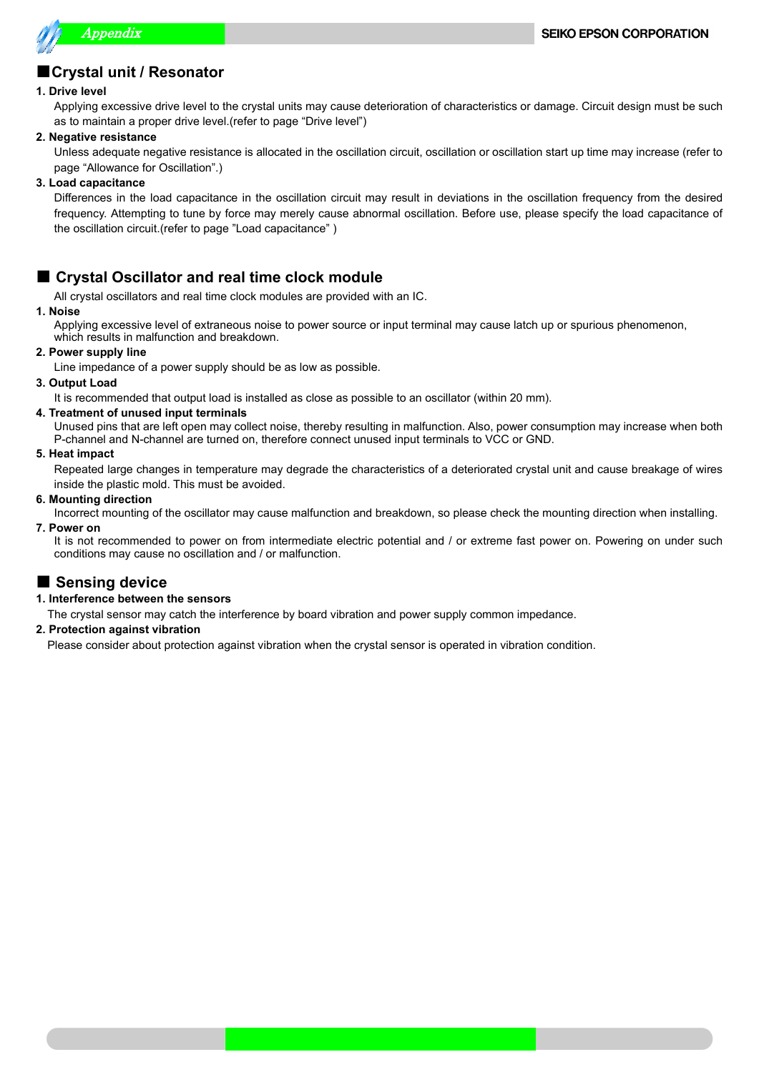

## ■**Crystal unit / Resonator**

#### **1. Drive level**

Applying excessive drive level to the crystal units may cause deterioration of characteristics or damage. Circuit design must be such as to maintain a proper drive level.(refer to page "Drive level")

#### **2. Negative resistance**

Unless adequate negative resistance is allocated in the oscillation circuit, oscillation or oscillation start up time may increase (refer to page "Allowance for Oscillation".)

#### **3. Load capacitance**

Differences in the load capacitance in the oscillation circuit may result in deviations in the oscillation frequency from the desired frequency. Attempting to tune by force may merely cause abnormal oscillation. Before use, please specify the load capacitance of the oscillation circuit.(refer to page "Load capacitance" )

## ■ **Crystal Oscillator and real time clock module**

All crystal oscillators and real time clock modules are provided with an IC.

#### **1. Noise**

Applying excessive level of extraneous noise to power source or input terminal may cause latch up or spurious phenomenon, which results in malfunction and breakdown.

#### **2. Power supply line**

Line impedance of a power supply should be as low as possible.

#### **3. Output Load**

It is recommended that output load is installed as close as possible to an oscillator (within 20 mm).

#### **4. Treatment of unused input terminals**

Unused pins that are left open may collect noise, thereby resulting in malfunction. Also, power consumption may increase when both P-channel and N-channel are turned on, therefore connect unused input terminals to VCC or GND.

#### **5. Heat impact**

Repeated large changes in temperature may degrade the characteristics of a deteriorated crystal unit and cause breakage of wires inside the plastic mold. This must be avoided.

#### **6. Mounting direction**

Incorrect mounting of the oscillator may cause malfunction and breakdown, so please check the mounting direction when installing.

**7. Power on**

It is not recommended to power on from intermediate electric potential and / or extreme fast power on. Powering on under such conditions may cause no oscillation and / or malfunction.

## **■ Sensing device**

#### **1. Interference between the sensors**

The crystal sensor may catch the interference by board vibration and power supply common impedance.

#### **2. Protection against vibration**

Please consider about protection against vibration when the crystal sensor is operated in vibration condition.